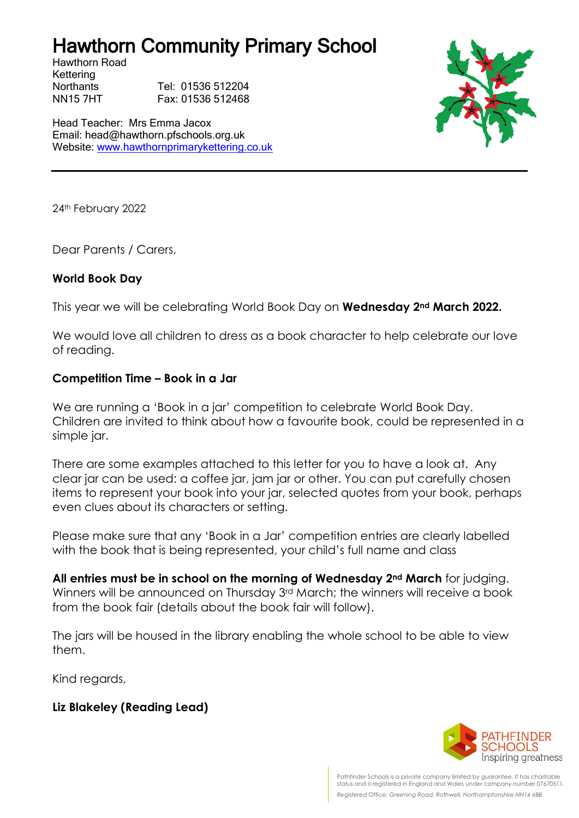## Hawthorn Community Primary School

Hawthorn Road Kettering

Northants Tel: 01536 512204 NN15 7HT Fax: 01536 512468

Head Teacher: Mrs Emma Jacox Email: head@hawthorn.pfschools.org.uk Website: [www.hawthornprimarykettering.co.uk](http://www.hawthornprimarykettering.co.uk/)



24th February 2022

Dear Parents / Carers,

#### **World Book Day**

This year we will be celebrating World Book Day on **Wednesday 2nd March 2022.**

We would love all children to dress as a book character to help celebrate our love of reading.

#### **Competition Time – Book in a Jar**

We are running a 'Book in a jar' competition to celebrate World Book Day. Children are invited to think about how a favourite book, could be represented in a simple jar.

There are some examples attached to this letter for you to have a look at. Any clear jar can be used: a coffee jar, jam jar or other. You can put carefully chosen items to represent your book into your jar, selected quotes from your book, perhaps even clues about its characters or setting.

Please make sure that any 'Book in a Jar' competition entries are clearly labelled with the book that is being represented, your child's full name and class

**All entries must be in school on the morning of Wednesday 2nd March** for judging. Winners will be announced on Thursday 3rd March; the winners will receive a book from the book fair (details about the book fair will follow).

The jars will be housed in the library enabling the whole school to be able to view them.

Kind regards,

### **Liz Blakeley (Reading Lead)**



Pathfinder Schools is a private company limited by guarantee. It has charitable status and is registered in England and Wales under company number 07670511. *Registered Office: Greening Road, Rothwell, Northamptonshire NN14 6BB*